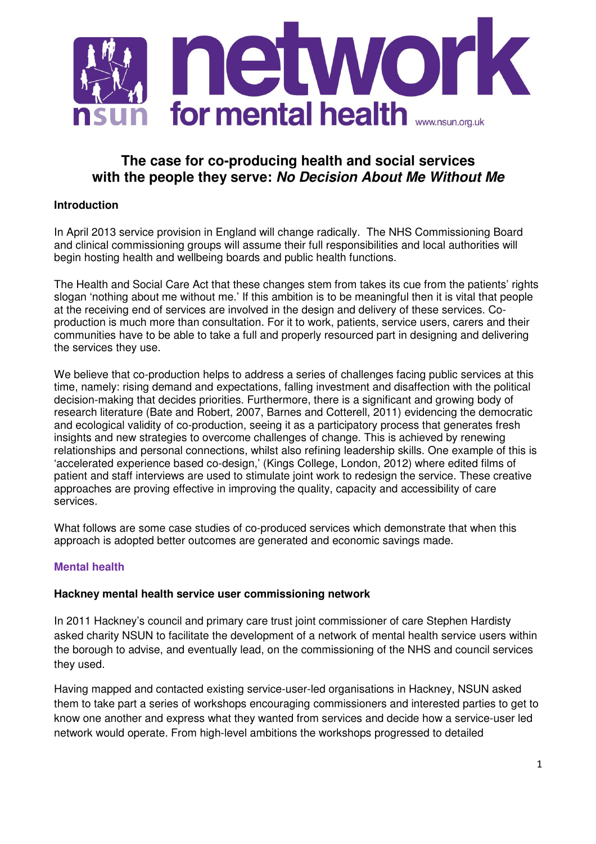

# **The case for co-producing health and social services with the people they serve: No Decision About Me Without Me**

# **Introduction**

In April 2013 service provision in England will change radically. The NHS Commissioning Board and clinical commissioning groups will assume their full responsibilities and local authorities will begin hosting health and wellbeing boards and public health functions.

The Health and Social Care Act that these changes stem from takes its cue from the patients' rights slogan 'nothing about me without me.' If this ambition is to be meaningful then it is vital that people at the receiving end of services are involved in the design and delivery of these services. Coproduction is much more than consultation. For it to work, patients, service users, carers and their communities have to be able to take a full and properly resourced part in designing and delivering the services they use.

We believe that co-production helps to address a series of challenges facing public services at this time, namely: rising demand and expectations, falling investment and disaffection with the political decision-making that decides priorities. Furthermore, there is a significant and growing body of research literature (Bate and Robert, 2007, Barnes and Cotterell, 2011) evidencing the democratic and ecological validity of co-production, seeing it as a participatory process that generates fresh insights and new strategies to overcome challenges of change. This is achieved by renewing relationships and personal connections, whilst also refining leadership skills. One example of this is 'accelerated experience based co-design,' (Kings College, London, 2012) where edited films of patient and staff interviews are used to stimulate joint work to redesign the service. These creative approaches are proving effective in improving the quality, capacity and accessibility of care services.

What follows are some case studies of co-produced services which demonstrate that when this approach is adopted better outcomes are generated and economic savings made.

# **Mental health**

#### **Hackney mental health service user commissioning network**

In 2011 Hackney's council and primary care trust joint commissioner of care Stephen Hardisty asked charity NSUN to facilitate the development of a network of mental health service users within the borough to advise, and eventually lead, on the commissioning of the NHS and council services they used.

Having mapped and contacted existing service-user-led organisations in Hackney, NSUN asked them to take part a series of workshops encouraging commissioners and interested parties to get to know one another and express what they wanted from services and decide how a service-user led network would operate. From high-level ambitions the workshops progressed to detailed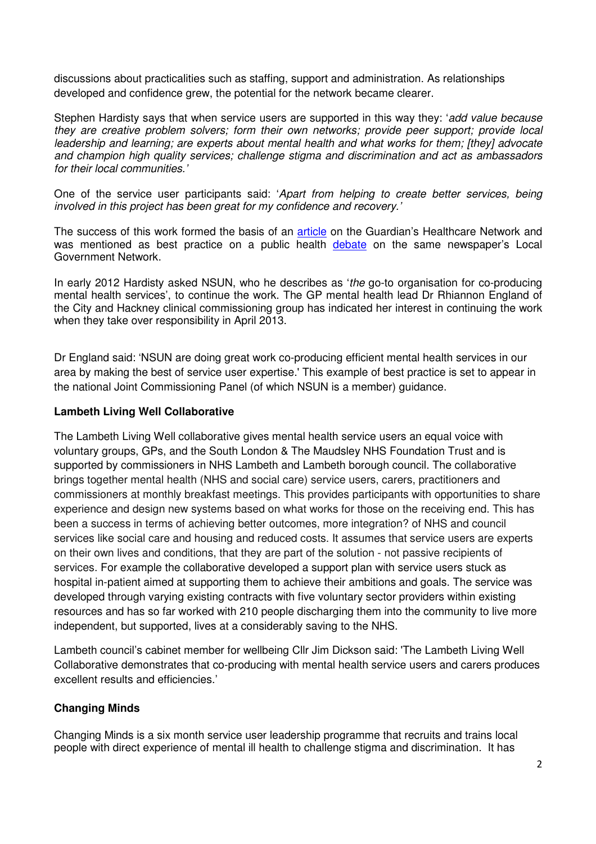discussions about practicalities such as staffing, support and administration. As relationships developed and confidence grew, the potential for the network became clearer.

Stephen Hardisty says that when service users are supported in this way they: 'add value because they are creative problem solvers; form their own networks; provide peer support; provide local leadership and learning; are experts about mental health and what works for them; [they] advocate and champion high quality services; challenge stigma and discrimination and act as ambassadors for their local communities.'

One of the service user participants said: 'Apart from helping to create better services, being involved in this project has been great for my confidence and recovery.'

The success of this work formed the basis of an **article** on the Guardian's Healthcare Network and was mentioned as best practice on a public health debate on the same newspaper's Local Government Network.

In early 2012 Hardisty asked NSUN, who he describes as 'the go-to organisation for co-producing mental health services', to continue the work. The GP mental health lead Dr Rhiannon England of the City and Hackney clinical commissioning group has indicated her interest in continuing the work when they take over responsibility in April 2013.

Dr England said: 'NSUN are doing great work co-producing efficient mental health services in our area by making the best of service user expertise.' This example of best practice is set to appear in the national Joint Commissioning Panel (of which NSUN is a member) guidance.

#### **Lambeth Living Well Collaborative**

The Lambeth Living Well collaborative gives mental health service users an equal voice with voluntary groups, GPs, and the South London & The Maudsley NHS Foundation Trust and is supported by commissioners in NHS Lambeth and Lambeth borough council. The collaborative brings together mental health (NHS and social care) service users, carers, practitioners and commissioners at monthly breakfast meetings. This provides participants with opportunities to share experience and design new systems based on what works for those on the receiving end. This has been a success in terms of achieving better outcomes, more integration? of NHS and council services like social care and housing and reduced costs. It assumes that service users are experts on their own lives and conditions, that they are part of the solution - not passive recipients of services. For example the collaborative developed a support plan with service users stuck as hospital in-patient aimed at supporting them to achieve their ambitions and goals. The service was developed through varying existing contracts with five voluntary sector providers within existing resources and has so far worked with 210 people discharging them into the community to live more independent, but supported, lives at a considerably saving to the NHS.

Lambeth council's cabinet member for wellbeing Cllr Jim Dickson said: 'The Lambeth Living Well Collaborative demonstrates that co-producing with mental health service users and carers produces excellent results and efficiencies.'

#### **Changing Minds**

Changing Minds is a six month service user leadership programme that recruits and trains local people with direct experience of mental ill health to challenge stigma and discrimination. It has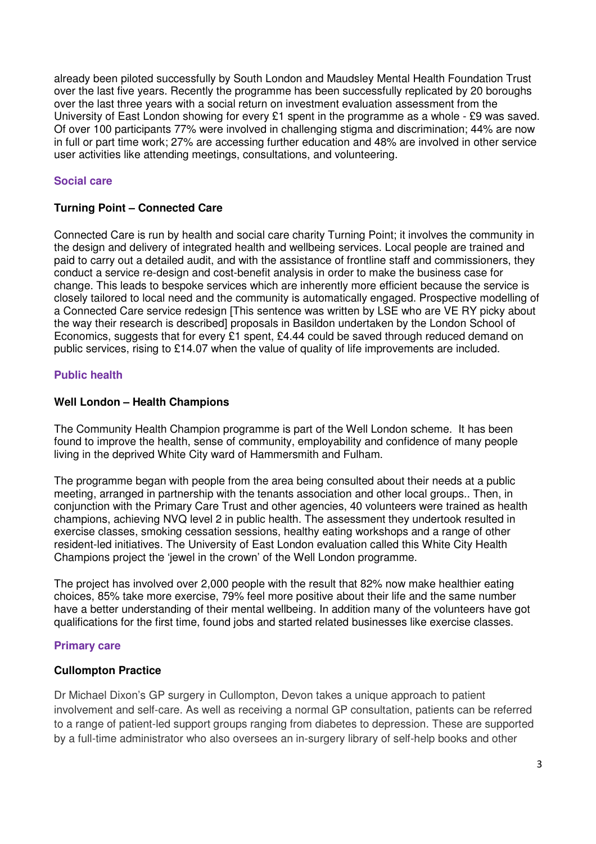already been piloted successfully by South London and Maudsley Mental Health Foundation Trust over the last five years. Recently the programme has been successfully replicated by 20 boroughs over the last three years with a social return on investment evaluation assessment from the University of East London showing for every £1 spent in the programme as a whole - £9 was saved. Of over 100 participants 77% were involved in challenging stigma and discrimination; 44% are now in full or part time work; 27% are accessing further education and 48% are involved in other service user activities like attending meetings, consultations, and volunteering.

#### **Social care**

#### **Turning Point – Connected Care**

Connected Care is run by health and social care charity Turning Point; it involves the community in the design and delivery of integrated health and wellbeing services. Local people are trained and paid to carry out a detailed audit, and with the assistance of frontline staff and commissioners, they conduct a service re-design and cost-benefit analysis in order to make the business case for change. This leads to bespoke services which are inherently more efficient because the service is closely tailored to local need and the community is automatically engaged. Prospective modelling of a Connected Care service redesign [This sentence was written by LSE who are VE RY picky about the way their research is described] proposals in Basildon undertaken by the London School of Economics, suggests that for every £1 spent, £4.44 could be saved through reduced demand on public services, rising to £14.07 when the value of quality of life improvements are included.

#### **Public health**

#### **Well London – Health Champions**

The Community Health Champion programme is part of the Well London scheme. It has been found to improve the health, sense of community, employability and confidence of many people living in the deprived White City ward of Hammersmith and Fulham.

The programme began with people from the area being consulted about their needs at a public meeting, arranged in partnership with the tenants association and other local groups.. Then, in conjunction with the Primary Care Trust and other agencies, 40 volunteers were trained as health champions, achieving NVQ level 2 in public health. The assessment they undertook resulted in exercise classes, smoking cessation sessions, healthy eating workshops and a range of other resident-led initiatives. The University of East London evaluation called this White City Health Champions project the 'jewel in the crown' of the Well London programme.

The project has involved over 2,000 people with the result that 82% now make healthier eating choices, 85% take more exercise, 79% feel more positive about their life and the same number have a better understanding of their mental wellbeing. In addition many of the volunteers have got qualifications for the first time, found jobs and started related businesses like exercise classes.

#### **Primary care**

#### **Cullompton Practice**

Dr Michael Dixon's GP surgery in Cullompton, Devon takes a unique approach to patient involvement and self-care. As well as receiving a normal GP consultation, patients can be referred to a range of patient-led support groups ranging from diabetes to depression. These are supported by a full-time administrator who also oversees an in-surgery library of self-help books and other